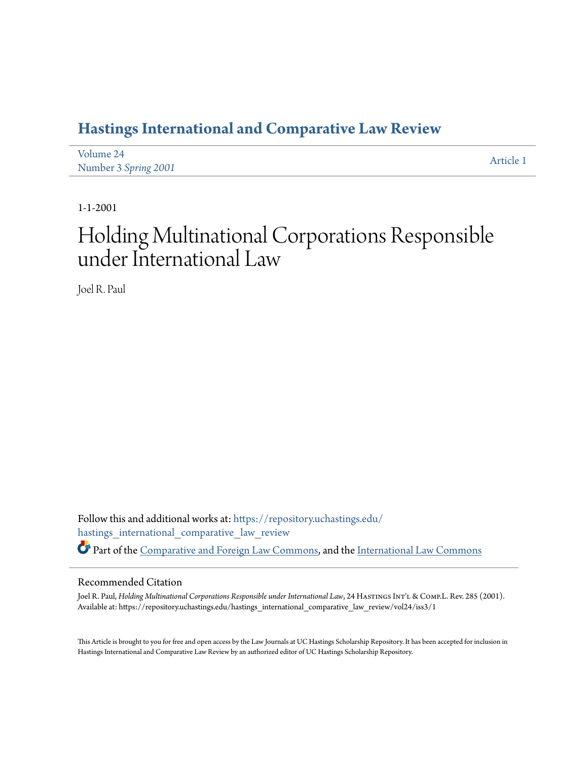## **[Hastings International and Comparative Law Review](https://repository.uchastings.edu/hastings_international_comparative_law_review?utm_source=repository.uchastings.edu%2Fhastings_international_comparative_law_review%2Fvol24%2Fiss3%2F1&utm_medium=PDF&utm_campaign=PDFCoverPages)**

| Volume 24            | Article 1 |
|----------------------|-----------|
| Number 3 Spring 2001 |           |

1-1-2001

## Holding Multinational Corporations Responsible under International Law

Joel R. Paul

Follow this and additional works at: [https://repository.uchastings.edu/](https://repository.uchastings.edu/hastings_international_comparative_law_review?utm_source=repository.uchastings.edu%2Fhastings_international_comparative_law_review%2Fvol24%2Fiss3%2F1&utm_medium=PDF&utm_campaign=PDFCoverPages) [hastings\\_international\\_comparative\\_law\\_review](https://repository.uchastings.edu/hastings_international_comparative_law_review?utm_source=repository.uchastings.edu%2Fhastings_international_comparative_law_review%2Fvol24%2Fiss3%2F1&utm_medium=PDF&utm_campaign=PDFCoverPages) Part of the [Comparative and Foreign Law Commons](http://network.bepress.com/hgg/discipline/836?utm_source=repository.uchastings.edu%2Fhastings_international_comparative_law_review%2Fvol24%2Fiss3%2F1&utm_medium=PDF&utm_campaign=PDFCoverPages), and the [International Law Commons](http://network.bepress.com/hgg/discipline/609?utm_source=repository.uchastings.edu%2Fhastings_international_comparative_law_review%2Fvol24%2Fiss3%2F1&utm_medium=PDF&utm_campaign=PDFCoverPages)

## Recommended Citation

Joel R. Paul, *Holding Multinational Corporations Responsible under International Law*, 24 HASTINGS INT'L & COMP.L. Rev. 285 (2001). Available at: https://repository.uchastings.edu/hastings\_international\_comparative\_law\_review/vol24/iss3/1

This Article is brought to you for free and open access by the Law Journals at UC Hastings Scholarship Repository. It has been accepted for inclusion in Hastings International and Comparative Law Review by an authorized editor of UC Hastings Scholarship Repository.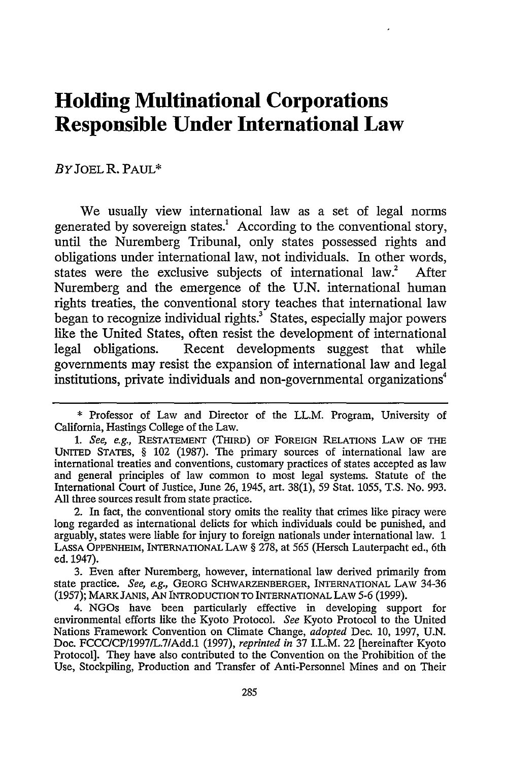## **Holding Multinational Corporations Responsible Under International Law**

BY **JOEL** R. PAUL\*

We usually view international law as a set of legal norms generated by sovereign states.<sup>1</sup> According to the conventional story, until the Nuremberg Tribunal, only states possessed rights and obligations under international law, not individuals. In other words, states were the exclusive subjects of international law.<sup>2</sup> After Nuremberg and the emergence of the U.N. international human rights treaties, the conventional story teaches that international law began to recognize individual rights.<sup>3</sup> States, especially major powers like the United States, often resist the development of international legal obligations. Recent developments suggest that while governments may resist the expansion of international law and legal institutions, private individuals and non-governmental organizations<sup>4</sup>

<sup>\*</sup> Professor of Law and Director of the LL.M. Program, University of California, Hastings College of the Law.

*<sup>1.</sup> See, e.g.,* RESTATEMENT (THIRD) OF FOREIGN RELATIONS LAW OF THE UNITED STATES, § 102 (1987). The primary sources of international law are international treaties and conventions, customary practices of states accepted as law and general principles of law common to most legal systems. Statute of the International Court of Justice, June 26, 1945, art. 38(1), 59 Stat. 1055, T.S. No. 993. All three sources result from state practice.

<sup>2.</sup> In fact, the conventional story omits the reality that crimes like piracy were long regarded as international delicts for which individuals could be punished, and arguably, states were liable for injury to foreign nationals under international law. 1 LASSA OPPENHEIM, INTERNATIONAL LAW § 278, at 565 (Hersch Lauterpacht ed., 6th ed. 1947).

<sup>3.</sup> Even after Nuremberg, however, international law derived primarily from state practice. *See, e.g.,* GEORG SCHWARZENBERGER, INTERNATIONAL LAW 34-36 (1957); MARK JANIS, AN INTRODUCrION TO INTERNATIONAL LAW **5-6** (1999).

<sup>4.</sup> NGOs have been particularly effective in developing support for environmental efforts like the Kyoto Protocol. *See* Kyoto Protocol to the United Nations Framework Convention on Climate Change, *adopted* Dec. **10,** 1997, U.N. Doc. FCCCICP/1997/L.7/Add.1 (1997), *reprinted in* 37 I.L.M. 22 [hereinafter Kyoto Protocol]. They have also contributed to the Convention on the Prohibition of the Use, Stockpiling, Production and Transfer of Anti-Personnel Mines and on Their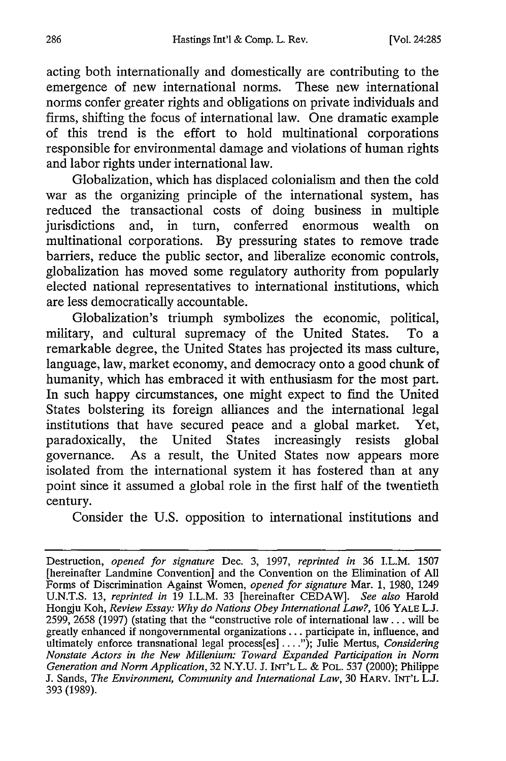acting both internationally and domestically are contributing to the emergence of new international norms. These new international norms confer greater rights and obligations on private individuals and firms, shifting the focus of international law. One dramatic example of this trend is the effort to hold multinational corporations responsible for environmental damage and violations of human rights and labor rights under international law.

Globalization, which has displaced colonialism and then the cold war as the organizing principle of the international system, has reduced the transactional costs of doing business in multiple jurisdictions and, in turn, conferred enormous wealth on multinational corporations. By pressuring states to remove trade barriers, reduce the public sector, and liberalize economic controls, globalization has moved some regulatory authority from popularly elected national representatives to international institutions, which are less democratically accountable.

Globalization's triumph symbolizes the economic, political, military, and cultural supremacy of the United States. To a remarkable degree, the United States has projected its mass culture, language, law, market economy, and democracy onto a good chunk of humanity, which has embraced it with enthusiasm for the most part. In such happy circumstances, one might expect to find the United States bolstering its foreign alliances and the international legal institutions that have secured peace and a global market. Yet, paradoxically, the United States increasingly resists global governance. As a result, the United States now appears more isolated from the international system it has fostered than at any point since it assumed a global role in the first half of the twentieth century.

Consider the U.S. opposition to international institutions and

Destruction, *opened for signature* Dec. 3, 1997, *reprinted in* 36 I.L.M. 1507 [hereinafter Landmine Convention] and the Convention on the Elimination of All Forms of Discrimination Against Women, *opened for signature* Mar. 1, 1980, 1249 U.N.T.S. 13, *reprinted in* 19 I.L.M. 33 [hereinafter CEDAW]. *See also* Harold Hongju Koh, *Review Essay: Why do Nations Obey International Law?,* 106 YALE **L.J.** 2599, 2658 (1997) (stating that the "constructive role of international law **...** will be greatly enhanced if nongovernmental organizations **...** participate in, influence, and ultimately enforce transnational legal process[es] **....** ); Julie Mertus, *Considering Nonstate Actors in the New Millenium: Toward Expanded Participation in Norm Generation and Norm Application,* 32 N.Y.U. J. INT'L L. & POL. 537 (2000); Philippe J. Sands, *The Environment, Community and International Law,* 30 HARV. INT'L **LJ.** 393 (1989).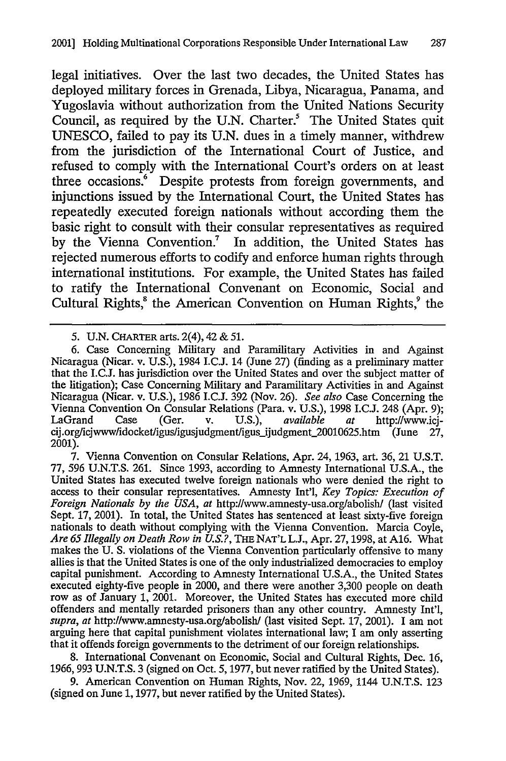legal initiatives. Over the last two decades, the United States has deployed military forces in Grenada, Libya, Nicaragua, Panama, and Yugoslavia without authorization from the United Nations Security Council, as required by the U.N. Charter.<sup>5</sup> The United States quit UNESCO, failed to pay its U.N. dues in a timely manner, withdrew from the jurisdiction of the International Court of Justice, and refused to comply with the International Court's orders on at least three occasions.<sup>6</sup> Despite protests from foreign governments, and injunctions issued by the International Court, the United States has repeatedly executed foreign nationals without according them the basic right to consult with their consular representatives as required by the Vienna Convention.<sup>7</sup> In addition, the United States has rejected numerous efforts to codify and enforce human rights through international institutions. For example, the United States has failed to ratify the International Convenant on Economic, Social and Cultural Rights,<sup>8</sup> the American Convention on Human Rights,<sup>9</sup> the

**7.** Vienna Convention on Consular Relations, Apr. 24, **1963,** art. **36,** 21 **U.S.T.** 77, *596* **U.N.T.S. 261.** Since **1993,** according to Amnesty International **U.S.A.,** the United States has executed twelve foreign nationals who were denied the right to access to their consular representatives. Amnesty Int'l, *Key Topics: Execution of Foreign Nationals by the USA, at* http://www.amnesty-usa.org/abolish/ (last visited Sept. 17, 2001). In total, the United States has sentenced at least sixty-five foreign nationals to death without complying with the Vienna Convention. Marcia Coyle, *Are 65 Illegally on Death Row in U.S.?,* **THE NAT'L L.J.,** Apr. 27, 1998, at A16. What makes the U. S. violations of the Vienna Convention particularly offensive to many allies is that the United States is one of the only industrialized democracies to employ capital punishment. According to Amnesty International U.S.A., the United States executed eighty-five people in 2000, and there were another 3,300 people on death row as of January 1, 2001. Moreover, the United States has executed more child offenders and mentally retarded prisoners than any other country. Amnesty Int'l, *supra, at* http://www.amnesty-usa.org/abolish/ (last visited Sept. 17, 2001). I am not arguing here that capital punishment violates international law; I am only asserting that it offends foreign governments to the detriment of our foreign relationships.

8. International Convenant on Economic, Social and Cultural Rights, Dec. 16, 1966, 993 U.N.T.S. 3 (signed on Oct. 5, 1977, but never ratified by the United States).

**9.** American Convention on Human Rights, Nov. 22, 1969, 1144 U.N.T.S. **123** (signed on June 1,1977, but never ratified by the United States).

<sup>5.</sup> U.N. CHARTER arts. 2(4), 42 & *51.*

<sup>6.</sup> Case Concerning Military and Paramilitary Activities in and Agains Nicaragua (Nicar. v. U.S.), 1984 I.C.J. 14 (June 27) (finding as a preliminary matter that the I.C.J. has jurisdiction over the United States and over the subject matter of the litigation); Case Concerning Military and Paramilitary Activities in and Against Nicaragua (Nicar. v. U.S.), 1986 I.C.J. 392 (Nov. 26). *See also* Case Concerning the Vienna Convention On Consular Relations (Para. v. U.S.), 1998 I.C.J. 248 (Apr. 9);<br>LaGrand Case (Ger. v. U.S.), *available at* http://www.ici-LaGrand Case (Ger. v. U.S.), *available at* http://www.icj $cij.org/cjwww/idocket/igus/igusjudgment/igus_jidgment_20010625.htm$  (June 27, 2001).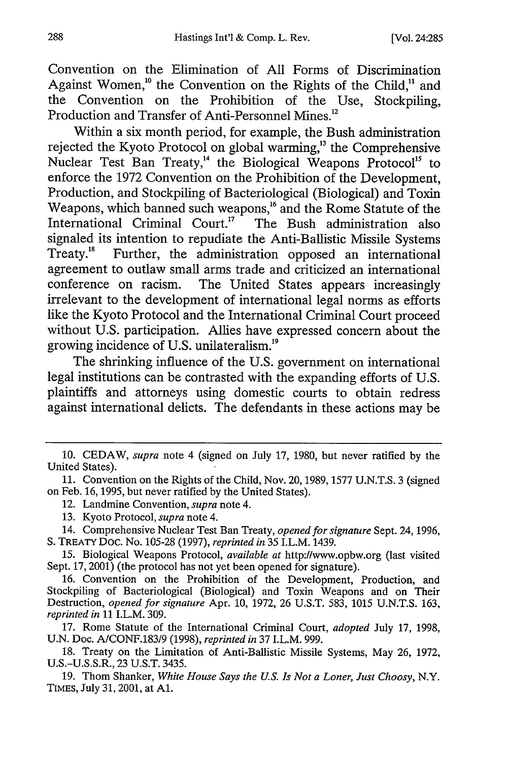Convention on the Elimination of **All** Forms of Discrimination Against Women,<sup>10</sup> the Convention on the Rights of the Child,<sup>11</sup> and the Convention on the Prohibition of the Use, Stockpiling, Production and Transfer of Anti-Personnel Mines.<sup>12</sup>

Within a six month period, for example, the Bush administration rejected the Kyoto Protocol on global warming,<sup>13</sup> the Comprehensive Nuclear Test Ban Treaty,<sup>14</sup> the Biological Weapons Protocol<sup>15</sup> to enforce the **1972** Convention on the Prohibition of the Development, Production, and Stockpiling of Bacteriological (Biological) and Toxin Weapons, which banned such weapons," and **the** Rome Statute of the International Criminal Court.<sup>17</sup> The Bush administration also signaled its intention to repudiate the Anti-Ballistic Missile Systems Treaty.<sup>18</sup> Further, the administration opposed an international agreement to outlaw small arms trade and criticized an international conference on racism. The United States appears increasingly irrelevant to the development of international legal norms as efforts like the Kyoto Protocol and the International Criminal Court proceed without **U.S.** participation. Allies have expressed concern about the growing incidence of **U.S.** unilateralism. <sup>9</sup>

The shrinking influence of the **U.S.** government on international legal institutions can be contrasted with the expanding efforts of **U.S.** plaintiffs and attorneys using domestic courts to obtain redress against international delicts. The defendants in these actions may be

<sup>10.</sup> CEDAW, *supra* note 4 (signed on July 17, 1980, but never ratified **by** the United States).

<sup>11.</sup> Convention on the Rights of the Child, Nov. 20, 1989, 1577 U.N.T.S. 3 (signed on Feb. 16, 1995, but never ratified **by** the United States).

<sup>12.</sup> Landmine Convention, *supra* note 4.

<sup>13.</sup> Kyoto Protocol, *supra* note 4.

<sup>14.</sup> Comprehensive Nuclear Test Ban Treaty, *opened for signature* Sept. 24, 1996, S. TREATY Doc. No. 105-28 (1997), *reprinted in* 35 I.L.M. 1439.

**<sup>15.</sup>** Biological Weapons Protocol, *available at* http://www.opbw.org (last visited Sept. 17, 2001) (the protocol has not yet been opened for signature).

**<sup>16.</sup>** Convention on the Prohibition of the Development, Production, and Stockpiling of Bacteriological (Biological) and Toxin Weapons and on Their Destruction, *opened for signature* Apr. 10, 1972, 26 U.S.T. 583, 1015 U.N.T.S. 163, *reprinted in* 11 I.L.M. 309.

<sup>17.</sup> Rome Statute of the International Criminal Court, *adopted* July 17, 1998, U.N. Doc. A/CONF.183/9 (1998), *reprinted in* 37 I.L.M. 999.

<sup>18.</sup> Treaty on the Limitation of Anti-Ballistic Missile Systems, May 26, 1972, U.S.-U.S.S.R., 23 U.S.T. 3435.

<sup>19.</sup> Thom Shanker, *White House Says the U.S. Is Not a Loner, Just Choosy,* N.Y. TIMES, July 31, 2001, at **Al.**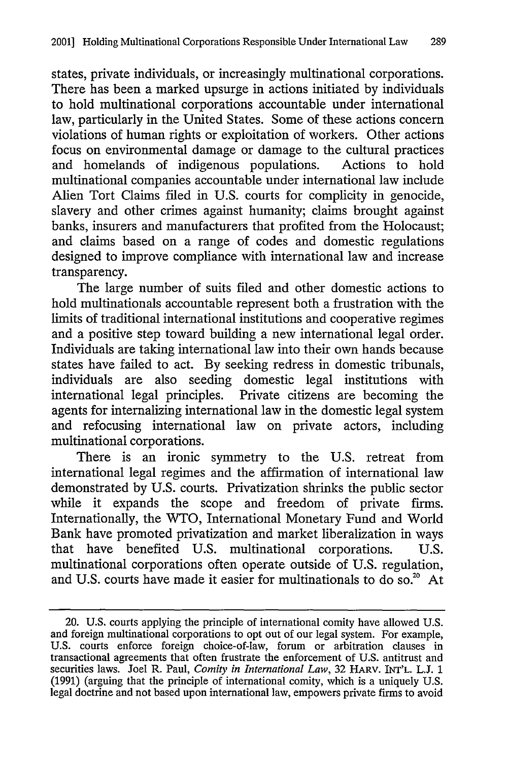states, private individuals, or increasingly multinational corporations. There has been a marked upsurge in actions initiated by individuals to hold multinational corporations accountable under international law, particularly in the United States. Some of these actions concern violations of human rights or exploitation of workers. Other actions focus on environmental damage or damage to the cultural practices and homelands of indigenous populations. Actions to hold multinational companies accountable under international law include Alien Tort Claims filed in U.S. courts for complicity in genocide, slavery and other crimes against humanity; claims brought against banks, insurers and manufacturers that profited from the Holocaust; and claims based on a range of codes and domestic regulations designed to improve compliance with international law and increase transparency.

The large number of suits filed and other domestic actions to hold multinationals accountable represent both a frustration with the limits of traditional international institutions and cooperative regimes and a positive step toward building a new international legal order. Individuals are taking international law into their own hands because states have failed to act. By seeking redress in domestic tribunals, individuals are also seeding domestic legal institutions with international legal principles. Private citizens are becoming the agents for internalizing international law in the domestic legal system and refocusing international law on private actors, including multinational corporations.

There is an ironic symmetry to the U.S. retreat from international legal regimes and the affirmation of international law demonstrated by U.S. courts. Privatization shrinks the public sector while it expands the scope and freedom of private firms. Internationally, the WTO, International Monetary Fund and World Bank have promoted privatization and market liberalization in ways that have benefited U.S. multinational corporations. U.S. multinational corporations often operate outside of U.S. regulation, and U.S. courts have made it easier for multinationals to do so.<sup>20</sup> At

<sup>20.</sup> U.S. courts applying the principle of international comity have allowed U.S. and foreign multinational corporations to opt out of our legal system. For example, U.S. courts enforce foreign choice-of-law, forum or arbitration clauses in transactional agreements that often frustrate the enforcement of U.S. antitrust and securities laws. Joel R. Paul, *Comity in International Law,* 32 HARV. INT'L. L.J. 1 (1991) (arguing that the principle of international comity, which is a uniquely U.S. legal doctrine and not based upon international law, empowers private firms to avoid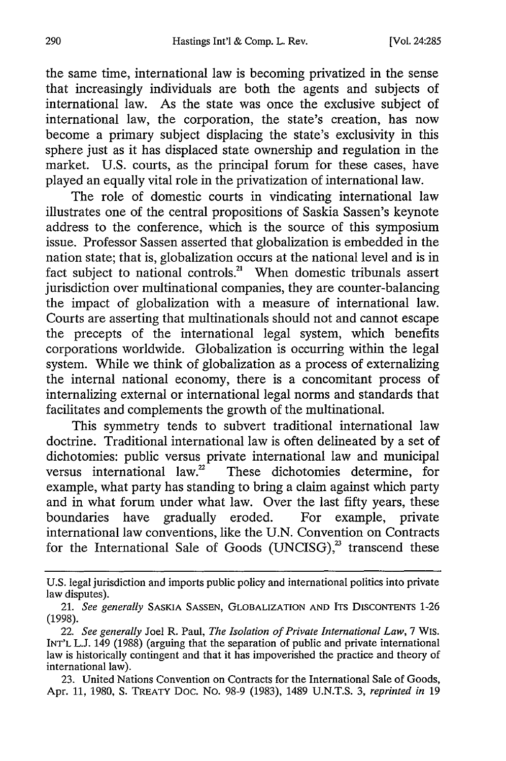the same time, international law is becoming privatized in the sense that increasingly individuals are both the agents and subjects of international law. As the state was once the exclusive subject of international law, the corporation, the state's creation, has now become a primary subject displacing the state's exclusivity in this sphere just as it has displaced state ownership and regulation in the market. U.S. courts, as the principal forum for these cases, have played an equally vital role in the privatization of international law.

The role of domestic courts in vindicating international law illustrates one of the central propositions of Saskia Sassen's keynote address to the conference, which is the source of this symposium issue. Professor Sassen asserted that globalization is embedded in the nation state; that is, globalization occurs at the national level and is in fact subject to national controls.<sup>21</sup> When domestic tribunals assert jurisdiction over multinational companies, they are counter-balancing the impact of globalization with a measure of international law. Courts are asserting that multinationals should not and cannot escape the precepts of the international legal system, which benefits corporations worldwide. Globalization is occurring within the legal system. While we think of globalization as a process of externalizing the internal national economy, there is a concomitant process of internalizing external or international legal norms and standards that facilitates and complements the growth of the multinational.

This symmetry tends to subvert traditional international law doctrine. Traditional international law is often delineated by a set of dichotomies: public versus private international law and municipal versus international law.<sup>22</sup> These dichotomies determine, for example, what party has standing to bring a claim against which party and in what forum under what law. Over the last fifty years, these boundaries have gradually eroded. For example, private international law conventions, like the U.N. Convention on Contracts for the International Sale of Goods (UNCISG),<sup>23</sup> transcend these

U.S. legal jurisdiction and imports public policy and international politics into private law disputes).

<sup>21.</sup> *See generally* SASKIA SASSEN, GLOBALIZATION **AND** ITS **DISCONTENTS** 1-26 (1998).

<sup>22.</sup> *See generally* Joel R. Paul, *The Isolation of Private International Law,* 7 WIS. INT'L L.J. 149 (1988) (arguing that the separation of public and private international law is historically contingent and that it has impoverished the practice and theory of international law).

<sup>23.</sup> United Nations Convention on Contracts for the International Sale of Goods, Apr. 11, 1980, S. TREATY Doc. No. 98-9 (1983), 1489 U.N.T.S. 3, *reprinted in* 19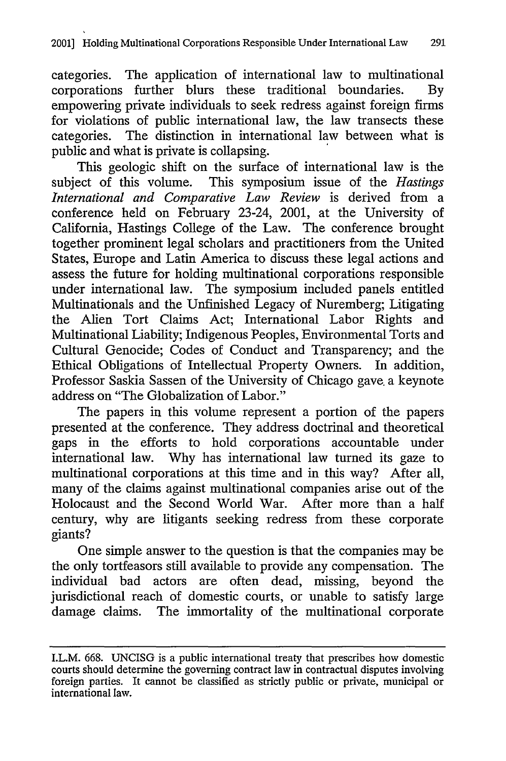categories. The application of international law to multinational corporations further blurs these traditional boundaries. By empowering private individuals to seek redress against foreign firms for violations of public international law, the law transects these categories. The distinction in international law between what is public and what is private is collapsing.

This geologic shift on the surface of international law is the subject of this volume. This symposium issue of the *Hastings International and Comparative Law Review* is derived from a conference held on February 23-24, 2001, at the University of California, Hastings College of the Law. The conference brought together prominent legal scholars and practitioners from the United States, Europe and Latin America to discuss these legal actions and assess the future for holding multinational corporations responsible under international law. The symposium included panels entitled Multinationals and the Unfinished Legacy of Nuremberg; Litigating the Alien Tort Claims Act; International Labor Rights and Multinational Liability; Indigenous Peoples, Environmental Torts and Cultural Genocide; Codes of Conduct and Transparency; and the Ethical Obligations of Intellectual Property Owners. In addition, Professor Saskia Sassen of the University of Chicago gave, a keynote address on "The Globalization of Labor."

The papers in this volume represent a portion of the papers presented at the conference. They address doctrinal and theoretical gaps in the efforts to hold corporations accountable under international law. Why has international law turned its gaze to multinational corporations at this time and in this way? After all, many of the claims against multinational companies arise out of the Holocaust and the Second World War. After more than a half century, why are litigants seeking redress from these corporate giants?

One simple answer to the question is that the companies may be the only tortfeasors still available to provide any compensation. The individual bad actors are often dead, missing, beyond the jurisdictional reach of domestic courts, or unable to satisfy large damage claims. The immortality of the multinational corporate

I.L.M. 668. UNCISG is a public international treaty that prescribes how domestic courts should determine the governing contract law in contractual disputes involving foreign parties. It cannot be classified as strictly public or private, municipal or international law.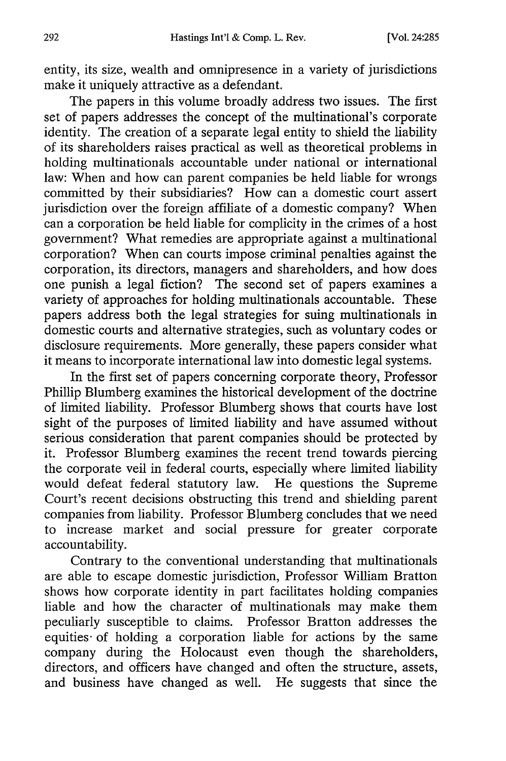entity, its size, wealth and omnipresence in a variety of jurisdictions make it uniquely attractive as a defendant.

The papers in this volume broadly address two issues. The first set of papers addresses the concept of the multinational's corporate identity. The creation of a separate legal entity to shield the liability of its shareholders raises practical as well as theoretical problems in holding multinationals accountable under national or international law: When and how can parent companies be held liable for wrongs committed by their subsidiaries? How can a domestic court assert jurisdiction over the foreign affiliate of a domestic company? When can a corporation be held liable for complicity in the crimes of a host government? What remedies are appropriate against a multinational corporation? When can courts impose criminal penalties against the corporation, its directors, managers and shareholders, and how does one punish a legal fiction? The second set of papers examines a variety of approaches for holding multinationals accountable. These papers address both the legal strategies for suing multinationals in domestic courts and alternative strategies, such as voluntary codes or disclosure requirements. More generally, these papers consider what it means to incorporate international law into domestic legal systems.

In the first set of papers concerning corporate theory, Professor Phillip Blumberg examines the historical development of the doctrine of limited liability. Professor Blumberg shows that courts have lost sight of the purposes of limited liability and have assumed without serious consideration that parent companies should be protected by it. Professor Blumberg examines the recent trend towards piercing the corporate veil in federal courts, especially where limited liability would defeat federal statutory law. He questions the Supreme Court's recent decisions obstructing this trend and shielding parent companies from liability. Professor Blumberg concludes that we need to increase market and social pressure for greater corporate accountability.

Contrary to the conventional understanding that multinationals are able to escape domestic jurisdiction, Professor William Bratton shows how corporate identity in part facilitates holding companies liable and how the character of multinationals may make them peculiarly susceptible to claims. Professor Bratton addresses the equities- of holding a corporation liable for actions by the same company during the Holocaust even though the shareholders, directors, and officers have changed and often the structure, assets, and business have changed as well. He suggests that since the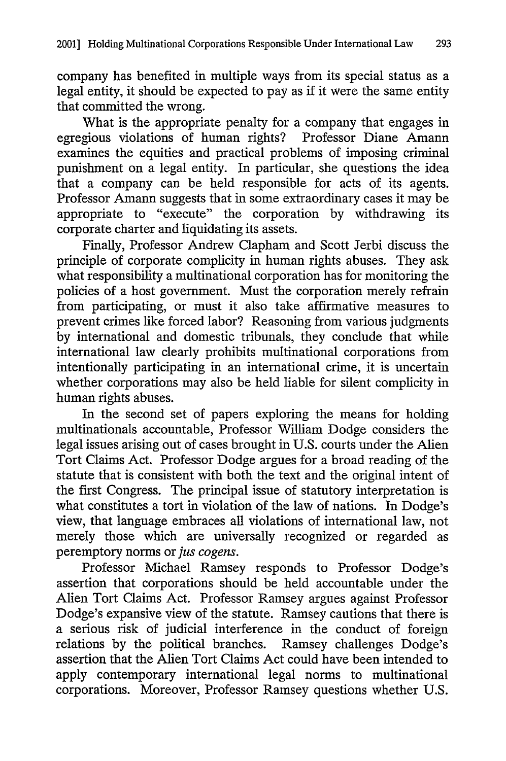company has benefited in multiple ways from its special status as a legal entity, it should be expected to pay as if it were the same entity that committed the wrong.

What is the appropriate penalty for a company that engages in egregious violations of human rights? Professor Diane Amann examines the equities and practical problems of imposing criminal punishment on a legal entity. In particular, she questions the idea that a company can be held responsible for acts of its agents. Professor Amann suggests that in some extraordinary cases it may be appropriate to "execute" the corporation by withdrawing its corporate charter and liquidating its assets.

Finally, Professor Andrew Clapham and Scott Jerbi discuss the principle of corporate complicity in human rights abuses. They ask what responsibility a multinational corporation has for monitoring the policies of a host government. Must the corporation merely refrain from participating, or must it also take affirmative measures to prevent crimes like forced labor? Reasoning from various judgments by international and domestic tribunals, they conclude that while international law clearly prohibits multinational corporations from intentionally participating in an international crime, it is uncertain whether corporations may also be held liable for silent complicity in human rights abuses.

In the second set of papers exploring the means for holding multinationals accountable, Professor William Dodge considers the legal issues arising out of cases brought in U.S. courts under the Alien Tort Claims Act. Professor Dodge argues for a broad reading of the statute that is consistent with both the text and the original intent of the first Congress. The principal issue of statutory interpretation is what constitutes a tort in violation of the law of nations. In Dodge's view, that language embraces all violations of international law, not merely those which are universally recognized or regarded as peremptory norms *or ]us cogens.*

Professor Michael Ramsey responds to Professor Dodge's assertion that corporations should be held accountable under the Alien Tort Claims Act. Professor Ramsey argues against Professor Dodge's expansive view of the statute. Ramsey cautions that there is a serious risk of judicial interference in the conduct of foreign relations by the political branches. Ramsey challenges Dodge's assertion that the Alien Tort Claims Act could have been intended to apply contemporary international legal norms to multinational corporations. Moreover, Professor Ramsey questions whether U.S.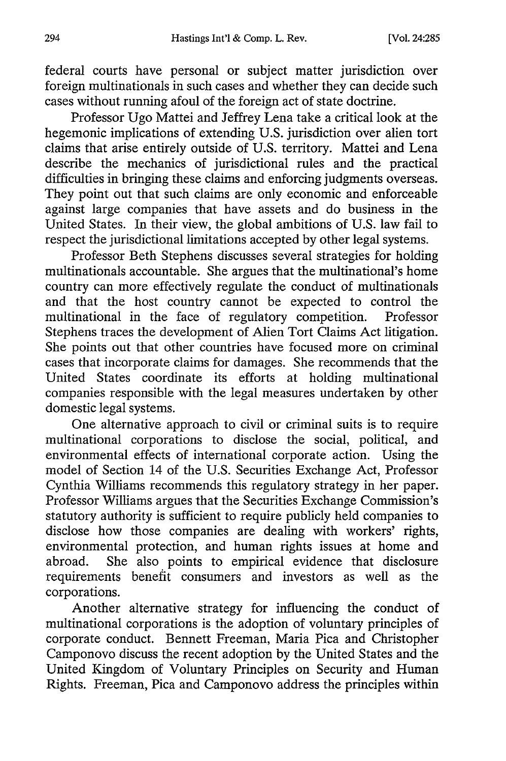federal courts have personal or subject matter jurisdiction over foreign multinationals in such cases and whether they can decide such cases without running afoul of the foreign act of state doctrine.

Professor Ugo Mattei and Jeffrey Lena take a critical look at the hegemonic implications of extending U.S. jurisdiction over alien tort claims that arise entirely outside of U.S. territory. Mattei and Lena describe the mechanics of jurisdictional rules and the practical difficulties in bringing these claims and enforcing judgments overseas. They point out that such claims are only economic and enforceable against large companies that have assets and do business in the United States. In their view, the global ambitions of U.S. law fail to respect the jurisdictional limitations accepted by other legal systems.

Professor Beth Stephens discusses several strategies for holding multinationals accountable. She argues that the multinational's home country can more effectively regulate the conduct of multinationals and that the host country cannot be expected to control the multinational in the face of regulatory competition. Professor Stephens traces the development of Alien Tort Claims Act litigation. She points out that other countries have focused more on criminal cases that incorporate claims for damages. She recommends that the United States coordinate its efforts at holding multinational companies responsible with the legal measures undertaken by other domestic legal systems.

One alternative approach to civil or criminal suits is to require multinational corporations to disclose the social, political, and environmental effects of international corporate action. Using the model of Section 14 of the U.S. Securities Exchange Act, Professor Cynthia Williams recommends this regulatory strategy in her paper. Professor Williams argues that the Securities Exchange Commission's statutory authority is sufficient to require publicly held companies to disclose how those companies are dealing with workers' rights, environmental protection, and human rights issues at home and abroad. She also points to empirical evidence that disclosure requirements benefit consumers and investors as well as the corporations.

Another alternative strategy for influencing the conduct of multinational corporations is the adoption of voluntary principles of corporate conduct. Bennett Freeman, Maria Pica and Christopher Camponovo discuss the recent adoption by the United States and the United Kingdom of Voluntary Principles on Security and Human Rights. Freeman, Pica and Camponovo address the principles within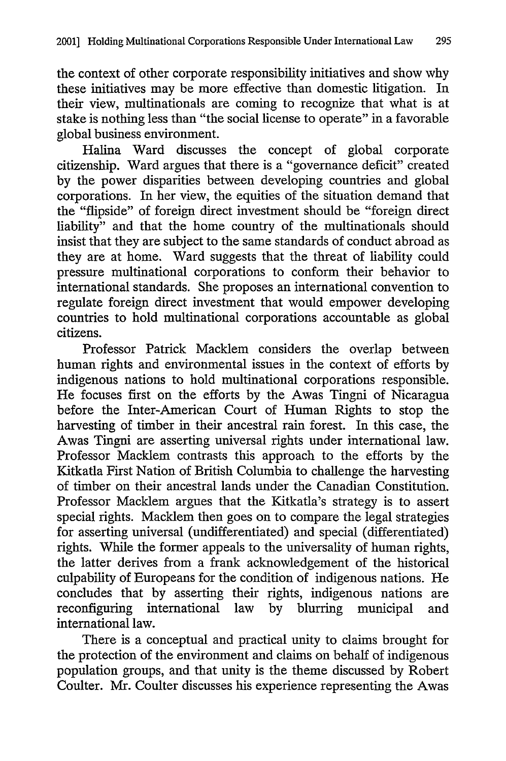the context of other corporate responsibility initiatives and show why these initiatives may be more effective than domestic litigation. In their view, multinationals are coming to recognize that what is at stake is nothing less than "the social license to operate" in a favorable global business environment.

Halina Ward discusses the concept of global corporate citizenship. Ward argues that there is a "governance deficit" created by the power disparities between developing countries and global corporations. In her view, the equities of the situation demand that the "flipside" of foreign direct investment should be "foreign direct liability" and that the home country of the multinationals should insist that they are subject to the same standards of conduct abroad as they are at home. Ward suggests that the threat of liability could pressure multinational corporations to conform their behavior to international standards. She proposes an international convention to regulate foreign direct investment that would empower developing countries to hold multinational corporations accountable as global citizens.

Professor Patrick Macklem considers the overlap between human rights and environmental issues in the context of efforts by indigenous nations to hold multinational corporations responsible. He focuses first on the efforts by the Awas Tingni of Nicaragua before the Inter-American Court of Human Rights to stop the harvesting of timber in their ancestral rain forest. In this case, the Awas Tingni are asserting universal rights under international law. Professor Macklem contrasts this approach to the efforts by the Kitkatla First Nation of British Columbia to challenge the harvesting of timber on their ancestral lands under the Canadian Constitution. Professor Macklem argues that the Kitkatla's strategy is to assert special rights. Macklem then goes on to compare the legal strategies for asserting universal (undifferentiated) and special (differentiated) rights. While the former appeals to the universality of human rights, the latter derives from a frank acknowledgement of the historical culpability of Europeans for the condition of indigenous nations. He concludes that by asserting their rights, indigenous nations are reconfiguring international law by blurring municipal and international law.

There is a conceptual and practical unity to claims brought for the protection of the environment and claims on behalf of indigenous population groups, and that unity is the theme discussed by Robert Coulter. Mr. Coulter discusses his experience representing the Awas